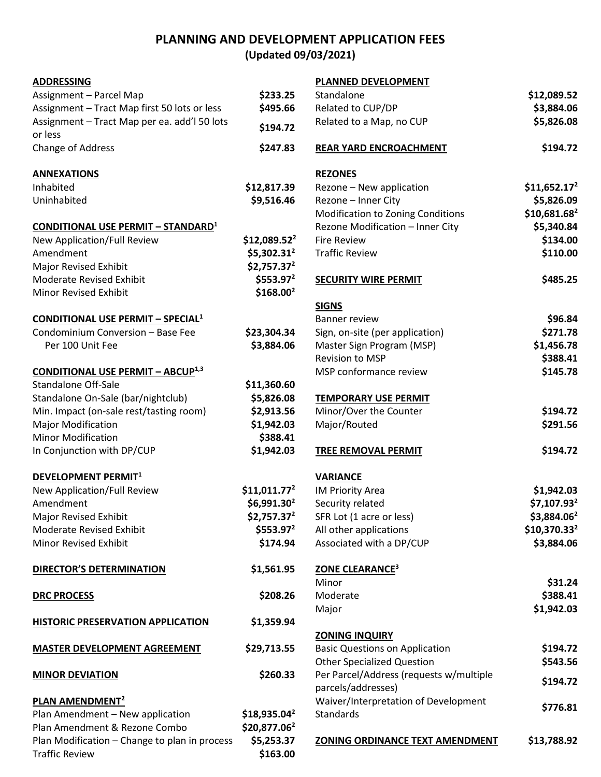## **PLANNING AND DEVELOPMENT APPLICATION FEES**

**(Updated 09/03/2021)**

| <b>ADDRESSING</b>                             |                         | PLANNED DEVELOPMENT                     |                         |
|-----------------------------------------------|-------------------------|-----------------------------------------|-------------------------|
| Assignment - Parcel Map                       | \$233.25                | Standalone                              | \$12,089.52             |
| Assignment - Tract Map first 50 lots or less  | \$495.66                | Related to CUP/DP                       | \$3,884.06              |
| Assignment - Tract Map per ea. add'l 50 lots  | \$194.72                | Related to a Map, no CUP                | \$5,826.08              |
| or less<br>Change of Address                  | \$247.83                | <b>REAR YARD ENCROACHMENT</b>           | \$194.72                |
| <b>ANNEXATIONS</b>                            |                         | <b>REZONES</b>                          |                         |
| Inhabited                                     | \$12,817.39             | Rezone - New application                | $$11,652.17^2$          |
| Uninhabited                                   | \$9,516.46              | Rezone - Inner City                     | \$5,826.09              |
|                                               |                         | Modification to Zoning Conditions       | \$10,681.682            |
| <b>CONDITIONAL USE PERMIT - STANDARD1</b>     |                         | Rezone Modification - Inner City        | \$5,340.84              |
| New Application/Full Review                   | $$12,089.52^2$          | <b>Fire Review</b>                      | \$134.00                |
| Amendment                                     | $$5,302.31^2$           | <b>Traffic Review</b>                   | \$110.00                |
| Major Revised Exhibit                         | $$2,757.37^2$           |                                         |                         |
| Moderate Revised Exhibit                      | $$553.97^2$             | <b>SECURITY WIRE PERMIT</b>             | \$485.25                |
| Minor Revised Exhibit                         | \$168.00 <sup>2</sup>   |                                         |                         |
|                                               |                         | <b>SIGNS</b>                            |                         |
| <b>CONDITIONAL USE PERMIT - SPECIAL1</b>      |                         | <b>Banner review</b>                    | \$96.84                 |
| Condominium Conversion - Base Fee             | \$23,304.34             | Sign, on-site (per application)         | \$271.78                |
| Per 100 Unit Fee                              | \$3,884.06              | Master Sign Program (MSP)               | \$1,456.78              |
|                                               |                         | Revision to MSP                         | \$388.41                |
| <b>CONDITIONAL USE PERMIT - ABCUP1,3</b>      |                         | MSP conformance review                  | \$145.78                |
| <b>Standalone Off-Sale</b>                    | \$11,360.60             |                                         |                         |
| Standalone On-Sale (bar/nightclub)            | \$5,826.08              | <b>TEMPORARY USE PERMIT</b>             |                         |
| Min. Impact (on-sale rest/tasting room)       | \$2,913.56              | Minor/Over the Counter                  | \$194.72                |
| <b>Major Modification</b>                     | \$1,942.03              | Major/Routed                            | \$291.56                |
| <b>Minor Modification</b>                     | \$388.41                |                                         |                         |
| In Conjunction with DP/CUP                    | \$1,942.03              | <b>TREE REMOVAL PERMIT</b>              | \$194.72                |
| DEVELOPMENT PERMIT <sup>1</sup>               |                         | <b>VARIANCE</b>                         |                         |
| New Application/Full Review                   | $$11,011.77^2$          | IM Priority Area                        | \$1,942.03              |
| Amendment                                     | $$6,991.30^2$           | Security related                        | \$7,107.93 <sup>2</sup> |
| Major Revised Exhibit                         | \$2,757.37 <sup>2</sup> | SFR Lot (1 acre or less)                | \$3,884.06 <sup>2</sup> |
| Moderate Revised Exhibit                      | $$553.97^2$             | All other applications                  | $$10,370.33^2$          |
| Minor Revised Exhibit                         | \$174.94                | Associated with a DP/CUP                | \$3,884.06              |
| <b>DIRECTOR'S DETERMINATION</b>               | \$1,561.95              | <b>ZONE CLEARANCE<sup>3</sup></b>       |                         |
|                                               |                         | Minor                                   | \$31.24                 |
| <b>DRC PROCESS</b>                            | \$208.26                | Moderate                                | \$388.41                |
|                                               |                         | Major                                   | \$1,942.03              |
| <b>HISTORIC PRESERVATION APPLICATION</b>      | \$1,359.94              |                                         |                         |
|                                               |                         | <b>ZONING INQUIRY</b>                   |                         |
| <b>MASTER DEVELOPMENT AGREEMENT</b>           | \$29,713.55             | <b>Basic Questions on Application</b>   | \$194.72                |
|                                               |                         | <b>Other Specialized Question</b>       | \$543.56                |
| <b>MINOR DEVIATION</b>                        | \$260.33                | Per Parcel/Address (requests w/multiple | \$194.72                |
|                                               |                         | parcels/addresses)                      |                         |
| PLAN AMENDMENT <sup>2</sup>                   |                         | Waiver/Interpretation of Development    | \$776.81                |
| Plan Amendment - New application              | $$18,935.04^2$          | Standards                               |                         |
| Plan Amendment & Rezone Combo                 | $$20,877.06^2$          |                                         |                         |
| Plan Modification - Change to plan in process | \$5,253.37              | ZONING ORDINANCE TEXT AMENDMENT         | \$13,788.92             |
| <b>Traffic Review</b>                         | \$163.00                |                                         |                         |